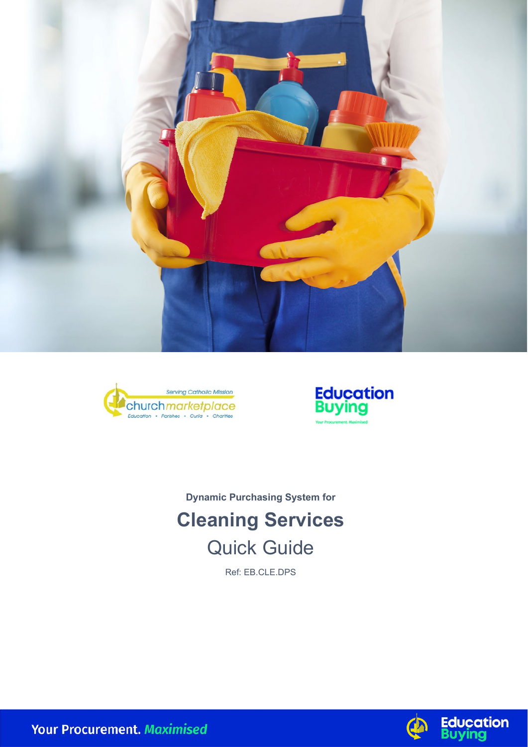





**Dynamic Purchasing System for**

# **Cleaning Services** Quick Guide

Ref: EB.CLE.DPS



**Your Procurement. Maximised**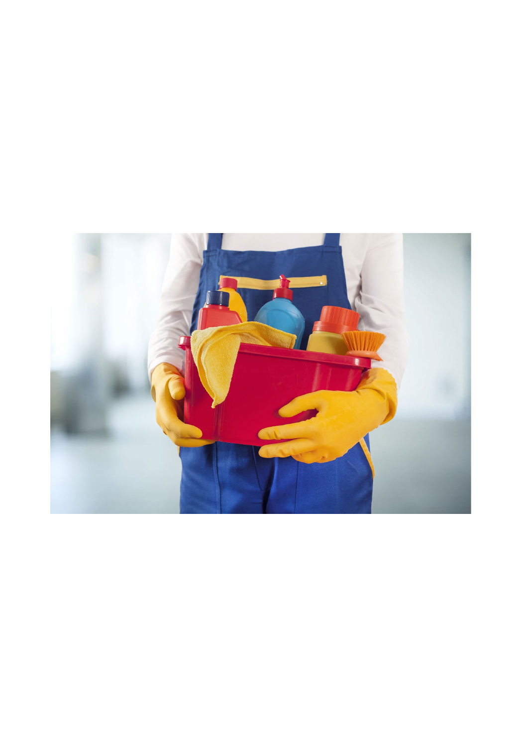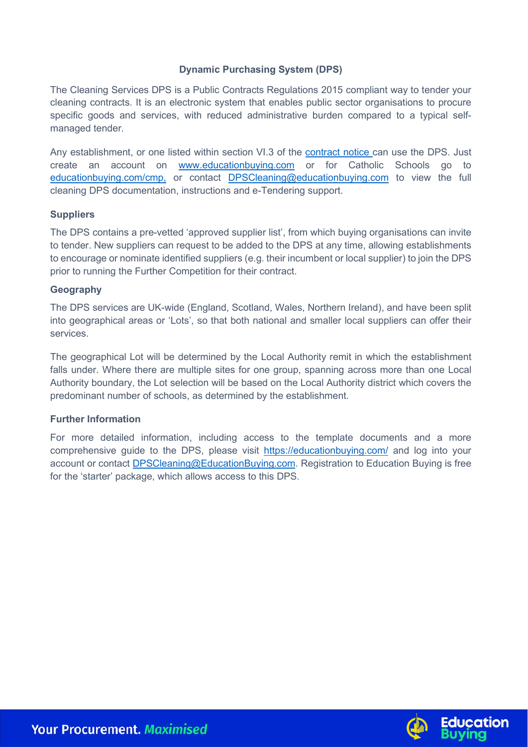# **Dynamic Purchasing System (DPS)**

The Cleaning Services DPS is a Public Contracts Regulations 2015 compliant way to tender your cleaning contracts. It is an electronic system that enables public sector organisations to procure specific goods and services, with reduced administrative burden compared to a typical selfmanaged tender.

Any establishment, or one listed within section VI.3 of the [contract notice](https://ted.europa.eu/udl?uri=TED:NOTICE:369120-2020:TEXT:EN:HTML) can use the DPS. Just create an account on [www.educationbuying.com](http://www.educationbuying.com/) or for Catholic Schools go to [educationbuying.com/cmp,](https://www.educationbuying.com/cmp) or contact [DPSCleaning@educationbuying.com](mailto:DPSCleaning@educationbuying.com) to view the full cleaning DPS documentation, instructions and e-Tendering support.

## **Suppliers**

The DPS contains a pre-vetted 'approved supplier list', from which buying organisations can invite to tender. New suppliers can request to be added to the DPS at any time, allowing establishments to encourage or nominate identified suppliers (e.g. their incumbent or local supplier) to join the DPS prior to running the Further Competition for their contract.

#### **Geography**

The DPS services are UK-wide (England, Scotland, Wales, Northern Ireland), and have been split into geographical areas or 'Lots', so that both national and smaller local suppliers can offer their services.

The geographical Lot will be determined by the Local Authority remit in which the establishment falls under. Where there are multiple sites for one group, spanning across more than one Local Authority boundary, the Lot selection will be based on the Local Authority district which covers the predominant number of schools, as determined by the establishment.

## **Further Information**

For more detailed information, including access to the template documents and a more comprehensive guide to the DPS, please visit<https://educationbuying.com/> and log into your account or contact [DPSCleaning@EducationBuying.com.](mailto:DPSCleaning@EducationBuying.com) Registration to Education Buying is free for the 'starter' package, which allows access to this DPS.